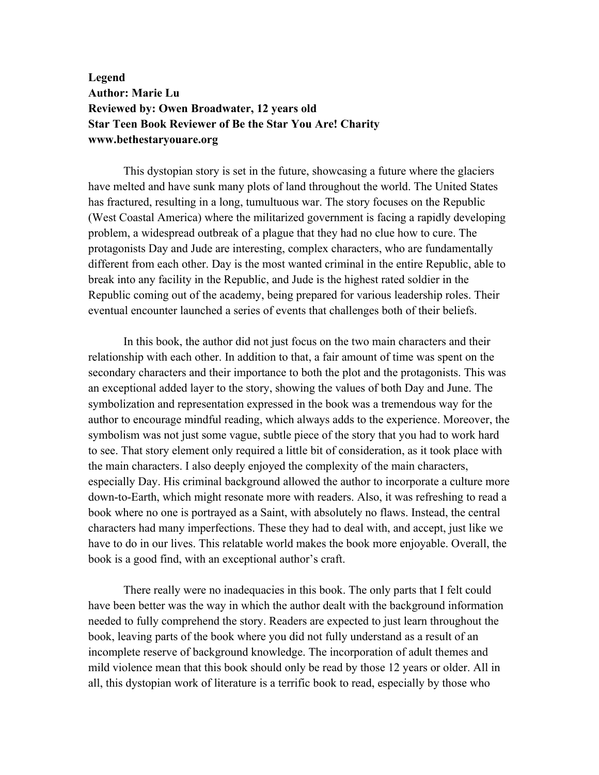## **Legend Author: Marie Lu Reviewed by: Owen Broadwater, 12 years old Star Teen Book Reviewer of Be the Star You Are! Charity www.bethestaryouare.org**

This dystopian story is set in the future, showcasing a future where the glaciers have melted and have sunk many plots of land throughout the world. The United States has fractured, resulting in a long, tumultuous war. The story focuses on the Republic (West Coastal America) where the militarized government is facing a rapidly developing problem, a widespread outbreak of a plague that they had no clue how to cure. The protagonists Day and Jude are interesting, complex characters, who are fundamentally different from each other. Day is the most wanted criminal in the entire Republic, able to break into any facility in the Republic, and Jude is the highest rated soldier in the Republic coming out of the academy, being prepared for various leadership roles. Their eventual encounter launched a series of events that challenges both of their beliefs.

In this book, the author did not just focus on the two main characters and their relationship with each other. In addition to that, a fair amount of time was spent on the secondary characters and their importance to both the plot and the protagonists. This was an exceptional added layer to the story, showing the values of both Day and June. The symbolization and representation expressed in the book was a tremendous way for the author to encourage mindful reading, which always adds to the experience. Moreover, the symbolism was not just some vague, subtle piece of the story that you had to work hard to see. That story element only required a little bit of consideration, as it took place with the main characters. I also deeply enjoyed the complexity of the main characters, especially Day. His criminal background allowed the author to incorporate a culture more down-to-Earth, which might resonate more with readers. Also, it was refreshing to read a book where no one is portrayed as a Saint, with absolutely no flaws. Instead, the central characters had many imperfections. These they had to deal with, and accept, just like we have to do in our lives. This relatable world makes the book more enjoyable. Overall, the book is a good find, with an exceptional author's craft.

There really were no inadequacies in this book. The only parts that I felt could have been better was the way in which the author dealt with the background information needed to fully comprehend the story. Readers are expected to just learn throughout the book, leaving parts of the book where you did not fully understand as a result of an incomplete reserve of background knowledge. The incorporation of adult themes and mild violence mean that this book should only be read by those 12 years or older. All in all, this dystopian work of literature is a terrific book to read, especially by those who